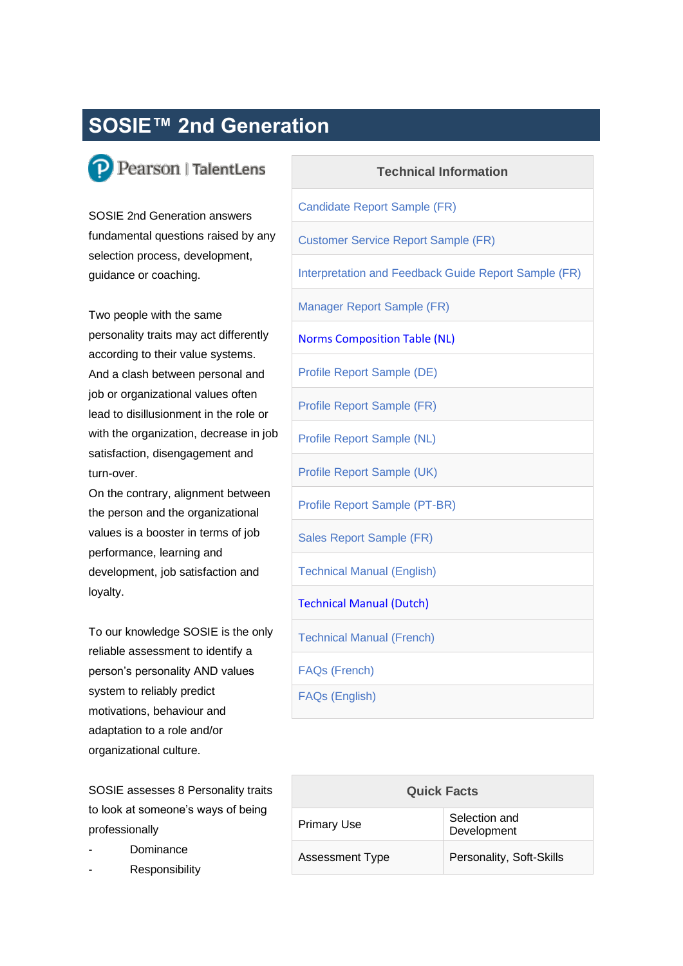## **SOSIE™ 2nd Generation**

## P Pearson | TalentLens

SOSIE 2nd Generation answers fundamental questions raised by any selection process, development, guidance or coaching.

Two people with the same personality traits may act differently according to their value systems. And a clash between personal and job or organizational values often lead to disillusionment in the role or with the organization, decrease in job satisfaction, disengagement and turn-over.

On the contrary, alignment between the person and the organizational values is a booster in terms of job performance, learning and development, job satisfaction and loyalty.

To our knowledge SOSIE is the only reliable assessment to identify a person's personality AND values system to reliably predict motivations, behaviour and adaptation to a role and/or organizational culture.

SOSIE assesses 8 Personality traits to look at someone's ways of being professionally

- **Dominance**
- Responsibility

| <b>Technical Information</b>                         |  |  |
|------------------------------------------------------|--|--|
| <b>Candidate Report Sample (FR)</b>                  |  |  |
| <b>Customer Service Report Sample (FR)</b>           |  |  |
| Interpretation and Feedback Guide Report Sample (FR) |  |  |
| Manager Report Sample (FR)                           |  |  |
| <b>Norms Composition Table (NL)</b>                  |  |  |
| Profile Report Sample (DE)                           |  |  |
| Profile Report Sample (FR)                           |  |  |
| Profile Report Sample (NL)                           |  |  |
| Profile Report Sample (UK)                           |  |  |
| Profile Report Sample (PT-BR)                        |  |  |
| Sales Report Sample (FR)                             |  |  |
| <b>Technical Manual (English)</b>                    |  |  |
| <b>Technical Manual (Dutch)</b>                      |  |  |
| <b>Technical Manual (French)</b>                     |  |  |
| <b>FAQs (French)</b>                                 |  |  |
| <b>FAQs (English)</b>                                |  |  |

| <b>Quick Facts</b>     |                              |
|------------------------|------------------------------|
| <b>Primary Use</b>     | Selection and<br>Development |
| <b>Assessment Type</b> | Personality, Soft-Skills     |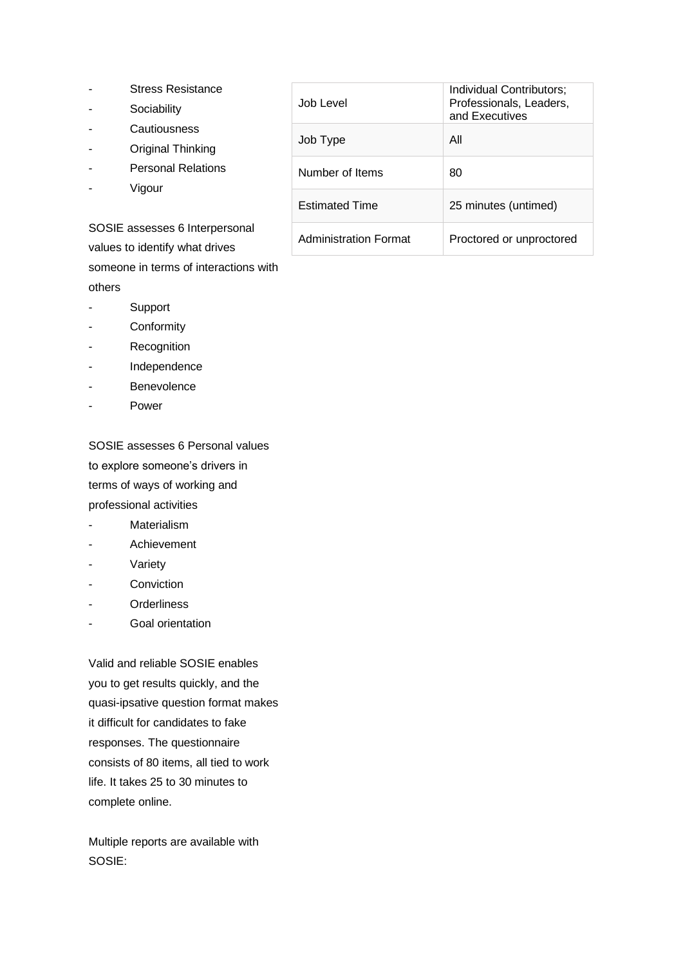- Stress Resistance
- Sociability
- **Cautiousness**
- Original Thinking
- Personal Relations
- Vigour

SOSIE assesses 6 Interpersonal values to identify what drives someone in terms of interactions with others

- Support
- **Conformity**
- Recognition
- **Independence**
- **Benevolence**
- Power

SOSIE assesses 6 Personal values to explore someone's drivers in terms of ways of working and professional activities

- Materialism
- Achievement
- **Variety**
- Conviction
- **Orderliness**
- Goal orientation

Valid and reliable SOSIE enables you to get results quickly, and the quasi-ipsative question format makes it difficult for candidates to fake responses. The questionnaire consists of 80 items, all tied to work life. It takes 25 to 30 minutes to complete online.

Multiple reports are available with SOSIE:

| Job Level                    | Individual Contributors;<br>Professionals, Leaders,<br>and Executives |
|------------------------------|-----------------------------------------------------------------------|
| Job Type                     | All                                                                   |
| Number of Items              | 80                                                                    |
| <b>Estimated Time</b>        | 25 minutes (untimed)                                                  |
| <b>Administration Format</b> | Proctored or unproctored                                              |